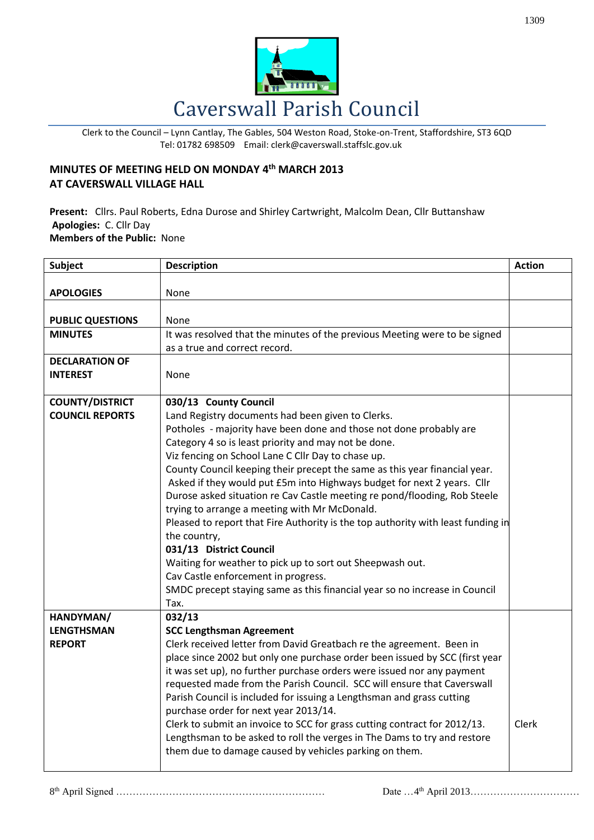

Clerk to the Council – Lynn Cantlay, The Gables, 504 Weston Road, Stoke-on-Trent, Staffordshire, ST3 6QD Tel: 01782 698509 Email: clerk@caverswall.staffslc.gov.uk

## **MINUTES OF MEETING HELD ON MONDAY 4 th MARCH 2013 AT CAVERSWALL VILLAGE HALL**

**Present:** Cllrs. Paul Roberts, Edna Durose and Shirley Cartwright, Malcolm Dean, Cllr Buttanshaw **Apologies:** C. Cllr Day **Members of the Public:** None

| <b>Subject</b>          | <b>Description</b>                                                               | <b>Action</b> |
|-------------------------|----------------------------------------------------------------------------------|---------------|
|                         |                                                                                  |               |
| <b>APOLOGIES</b>        | None                                                                             |               |
| <b>PUBLIC QUESTIONS</b> | None                                                                             |               |
| <b>MINUTES</b>          | It was resolved that the minutes of the previous Meeting were to be signed       |               |
|                         | as a true and correct record.                                                    |               |
| <b>DECLARATION OF</b>   |                                                                                  |               |
| <b>INTEREST</b>         | None                                                                             |               |
|                         |                                                                                  |               |
| <b>COUNTY/DISTRICT</b>  | 030/13 County Council                                                            |               |
| <b>COUNCIL REPORTS</b>  | Land Registry documents had been given to Clerks.                                |               |
|                         | Potholes - majority have been done and those not done probably are               |               |
|                         | Category 4 so is least priority and may not be done.                             |               |
|                         | Viz fencing on School Lane C Cllr Day to chase up.                               |               |
|                         | County Council keeping their precept the same as this year financial year.       |               |
|                         | Asked if they would put £5m into Highways budget for next 2 years. Cllr          |               |
|                         | Durose asked situation re Cav Castle meeting re pond/flooding, Rob Steele        |               |
|                         | trying to arrange a meeting with Mr McDonald.                                    |               |
|                         | Pleased to report that Fire Authority is the top authority with least funding in |               |
|                         | the country,<br>031/13 District Council                                          |               |
|                         | Waiting for weather to pick up to sort out Sheepwash out.                        |               |
|                         | Cav Castle enforcement in progress.                                              |               |
|                         | SMDC precept staying same as this financial year so no increase in Council       |               |
|                         | Tax.                                                                             |               |
| HANDYMAN/               | 032/13                                                                           |               |
| <b>LENGTHSMAN</b>       | <b>SCC Lengthsman Agreement</b>                                                  |               |
| <b>REPORT</b>           | Clerk received letter from David Greatbach re the agreement. Been in             |               |
|                         | place since 2002 but only one purchase order been issued by SCC (first year      |               |
|                         | it was set up), no further purchase orders were issued nor any payment           |               |
|                         | requested made from the Parish Council. SCC will ensure that Caverswall          |               |
|                         | Parish Council is included for issuing a Lengthsman and grass cutting            |               |
|                         | purchase order for next year 2013/14.                                            |               |
|                         | Clerk to submit an invoice to SCC for grass cutting contract for 2012/13.        | Clerk         |
|                         | Lengthsman to be asked to roll the verges in The Dams to try and restore         |               |
|                         | them due to damage caused by vehicles parking on them.                           |               |
|                         |                                                                                  |               |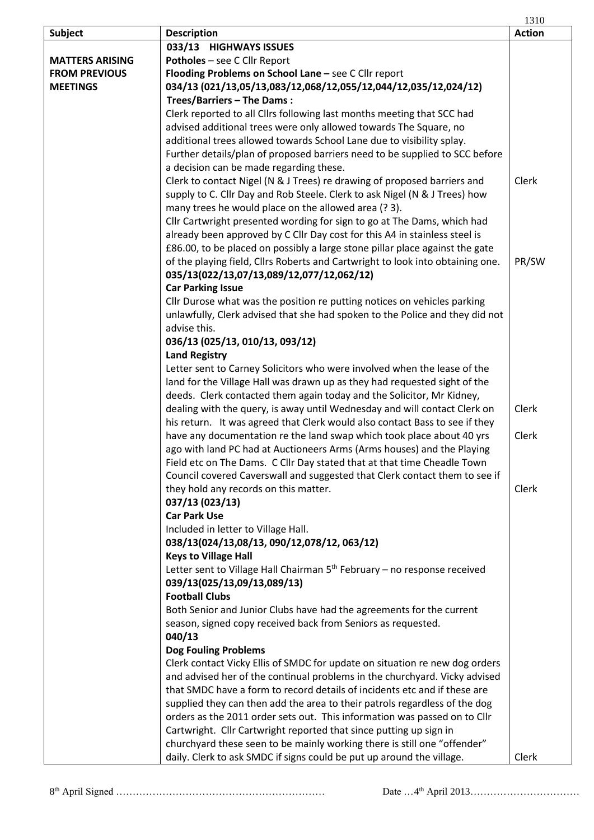|                        |                                                                                | 1310          |
|------------------------|--------------------------------------------------------------------------------|---------------|
| <b>Subject</b>         | <b>Description</b>                                                             | <b>Action</b> |
|                        | 033/13 HIGHWAYS ISSUES                                                         |               |
| <b>MATTERS ARISING</b> | Potholes - see C Cllr Report                                                   |               |
| <b>FROM PREVIOUS</b>   | Flooding Problems on School Lane - see C Cllr report                           |               |
| <b>MEETINGS</b>        | 034/13 (021/13,05/13,083/12,068/12,055/12,044/12,035/12,024/12)                |               |
|                        | Trees/Barriers - The Dams:                                                     |               |
|                        | Clerk reported to all Cllrs following last months meeting that SCC had         |               |
|                        | advised additional trees were only allowed towards The Square, no              |               |
|                        | additional trees allowed towards School Lane due to visibility splay.          |               |
|                        | Further details/plan of proposed barriers need to be supplied to SCC before    |               |
|                        | a decision can be made regarding these.                                        |               |
|                        | Clerk to contact Nigel (N & J Trees) re drawing of proposed barriers and       | Clerk         |
|                        | supply to C. Cllr Day and Rob Steele. Clerk to ask Nigel (N & J Trees) how     |               |
|                        | many trees he would place on the allowed area (? 3).                           |               |
|                        | Cllr Cartwright presented wording for sign to go at The Dams, which had        |               |
|                        | already been approved by C Cllr Day cost for this A4 in stainless steel is     |               |
|                        | £86.00, to be placed on possibly a large stone pillar place against the gate   |               |
|                        | of the playing field, Cllrs Roberts and Cartwright to look into obtaining one. | PR/SW         |
|                        | 035/13(022/13,07/13,089/12,077/12,062/12)                                      |               |
|                        | <b>Car Parking Issue</b>                                                       |               |
|                        | Cllr Durose what was the position re putting notices on vehicles parking       |               |
|                        | unlawfully, Clerk advised that she had spoken to the Police and they did not   |               |
|                        | advise this.                                                                   |               |
|                        | 036/13 (025/13, 010/13, 093/12)                                                |               |
|                        | <b>Land Registry</b>                                                           |               |
|                        | Letter sent to Carney Solicitors who were involved when the lease of the       |               |
|                        | land for the Village Hall was drawn up as they had requested sight of the      |               |
|                        | deeds. Clerk contacted them again today and the Solicitor, Mr Kidney,          |               |
|                        | dealing with the query, is away until Wednesday and will contact Clerk on      | Clerk         |
|                        | his return. It was agreed that Clerk would also contact Bass to see if they    |               |
|                        | have any documentation re the land swap which took place about 40 yrs          | Clerk         |
|                        | ago with land PC had at Auctioneers Arms (Arms houses) and the Playing         |               |
|                        | Field etc on The Dams. C Cllr Day stated that at that time Cheadle Town        |               |
|                        | Council covered Caverswall and suggested that Clerk contact them to see if     |               |
|                        | they hold any records on this matter.                                          | Clerk         |
|                        | 037/13 (023/13)                                                                |               |
|                        | <b>Car Park Use</b>                                                            |               |
|                        | Included in letter to Village Hall.                                            |               |
|                        | 038/13(024/13,08/13, 090/12,078/12, 063/12)                                    |               |
|                        | <b>Keys to Village Hall</b>                                                    |               |
|                        | Letter sent to Village Hall Chairman $5th$ February – no response received     |               |
|                        | 039/13(025/13,09/13,089/13)                                                    |               |
|                        | <b>Football Clubs</b>                                                          |               |
|                        | Both Senior and Junior Clubs have had the agreements for the current           |               |
|                        | season, signed copy received back from Seniors as requested.                   |               |
|                        | 040/13                                                                         |               |
|                        | <b>Dog Fouling Problems</b>                                                    |               |
|                        | Clerk contact Vicky Ellis of SMDC for update on situation re new dog orders    |               |
|                        | and advised her of the continual problems in the churchyard. Vicky advised     |               |
|                        | that SMDC have a form to record details of incidents etc and if these are      |               |
|                        | supplied they can then add the area to their patrols regardless of the dog     |               |
|                        | orders as the 2011 order sets out. This information was passed on to Cllr      |               |
|                        | Cartwright. Cllr Cartwright reported that since putting up sign in             |               |
|                        | churchyard these seen to be mainly working there is still one "offender"       |               |
|                        | daily. Clerk to ask SMDC if signs could be put up around the village.          | Clerk         |